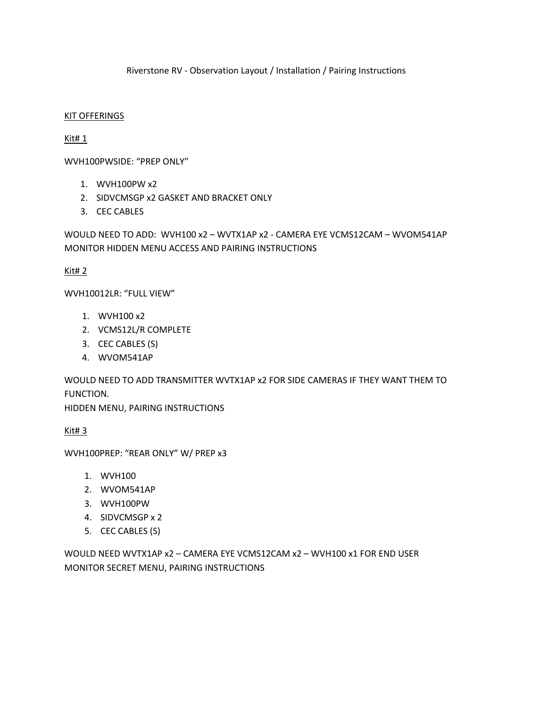Riverstone RV - Observation Layout / Installation / Pairing Instructions

## KIT OFFERINGS

Kit# 1

WVH100PWSIDE: "PREP ONLY"

- 1. WVH100PW x2
- 2. SIDVCMSGP x2 GASKET AND BRACKET ONLY
- 3. CEC CABLES

WOULD NEED TO ADD: WVH100 x2 – WVTX1AP x2 - CAMERA EYE VCMS12CAM – WVOM541AP MONITOR HIDDEN MENU ACCESS AND PAIRING INSTRUCTIONS

Kit# 2

WVH10012LR: "FULL VIEW"

- 1. WVH100 x2
- 2. VCMS12L/R COMPLETE
- 3. CEC CABLES (S)
- 4. WVOM541AP

WOULD NEED TO ADD TRANSMITTER WVTX1AP x2 FOR SIDE CAMERAS IF THEY WANT THEM TO FUNCTION.

HIDDEN MENU, PAIRING INSTRUCTIONS

Kit# 3

WVH100PREP: "REAR ONLY" W/ PREP x3

- 1. WVH100
- 2. WVOM541AP
- 3. WVH100PW
- 4. SIDVCMSGP x 2
- 5. CEC CABLES (S)

WOULD NEED WVTX1AP x2 – CAMERA EYE VCMS12CAM x2 – WVH100 x1 FOR END USER MONITOR SECRET MENU, PAIRING INSTRUCTIONS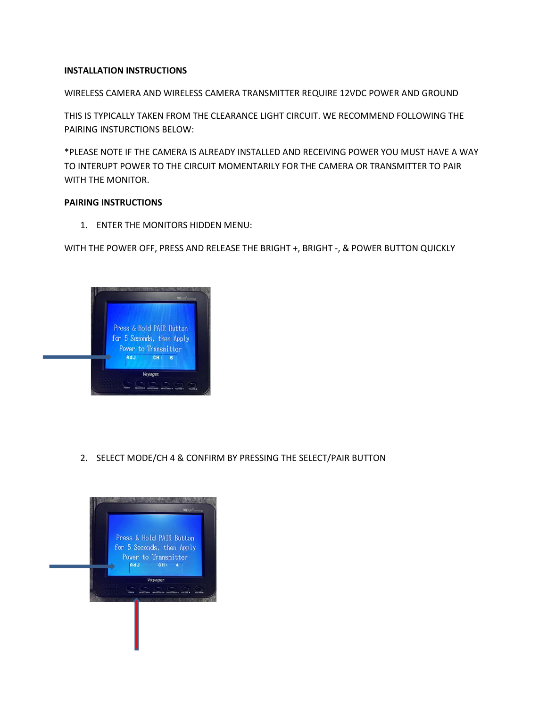# **INSTALLATION INSTRUCTIONS**

WIRELESS CAMERA AND WIRELESS CAMERA TRANSMITTER REQUIRE 12VDC POWER AND GROUND

THIS IS TYPICALLY TAKEN FROM THE CLEARANCE LIGHT CIRCUIT. WE RECOMMEND FOLLOWING THE PAIRING INSTURCTIONS BELOW:

\*PLEASE NOTE IF THE CAMERA IS ALREADY INSTALLED AND RECEIVING POWER YOU MUST HAVE A WAY TO INTERUPT POWER TO THE CIRCUIT MOMENTARILY FOR THE CAMERA OR TRANSMITTER TO PAIR WITH THE MONITOR.

# **PAIRING INSTRUCTIONS**

1. ENTER THE MONITORS HIDDEN MENU:

WITH THE POWER OFF, PRESS AND RELEASE THE BRIGHT +, BRIGHT -, & POWER BUTTON QUICKLY



2. SELECT MODE/CH 4 & CONFIRM BY PRESSING THE SELECT/PAIR BUTTON

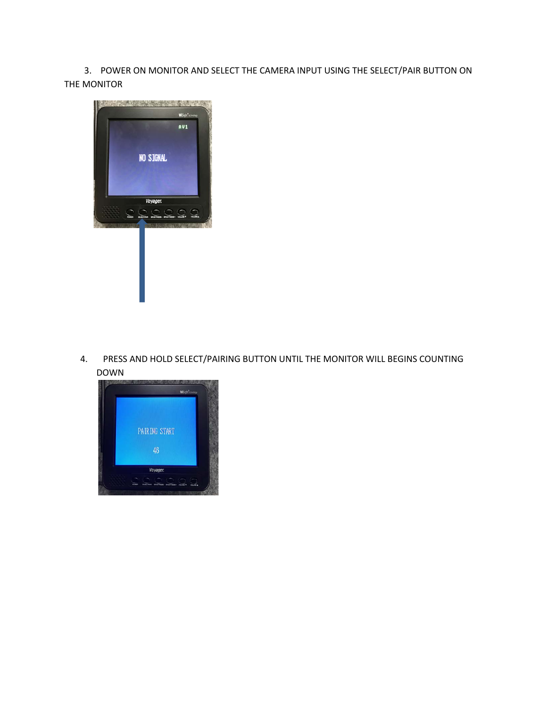3. POWER ON MONITOR AND SELECT THE CAMERA INPUT USING THE SELECT/PAIR BUTTON ON THE MONITOR



4. PRESS AND HOLD SELECT/PAIRING BUTTON UNTIL THE MONITOR WILL BEGINS COUNTING DOWN